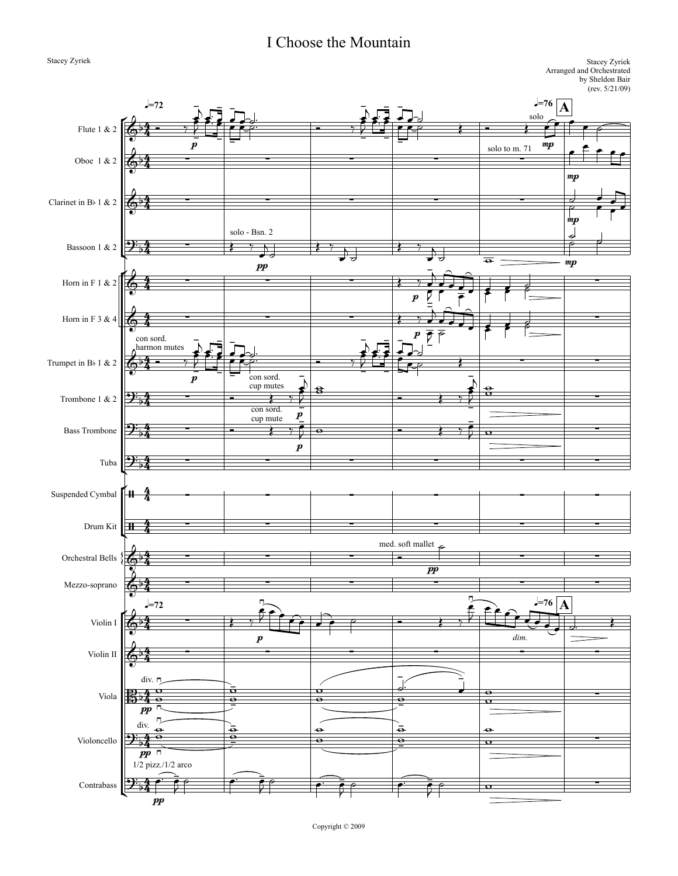## I Choose the Mountain

° Bassoon 1 & 2 ° ¢ ° ¢  $1H$ ¢ {<br>{  $\frac{1}{2}$ =72 q**=72** Stacey Zyriek Arranged and Orchestrated by Sheldon Bair (rev. 5/21/09) Stacey Zyriek q**=76** q**=76 A A** Flute 1 & 2 Oboe 1 & 2 Clarinet in Bb 1 & 2 Horn in F 1 & 2 Horn in F 3 & 4 Trumpet in Bb 1 & 2 Trombone 1 & 2 Bass Trombone Tuba Suspended Cymbal Drum Kit Orchestral Bells Mezzo-soprano Violin I Violin II Viola Violoncello Contrabass 4  $\frac{4}{4}$ 4  $\frac{4}{4}$ 4 4 4 4 4  $\frac{4}{4}$ 4 4 4 4 4 4 4 4 4 4 4 4 4 4 4  $\frac{4}{4}$ 4  $\frac{4}{4}$ 4 4 4 4 4  $\frac{4}{4}$ 4  $\frac{4}{4}$ 4  $\frac{4}{4}$  $\overline{\mathbb{G}}^{\flat}$  $\frac{\epsilon}{p}$ solo mp  $\bigodot^p$   $\begin{array}{ccc} & P & & \text{solotom.71} \\ & \bullet & & \bullet & \bullet \end{array}$ ∑ mp  $\phi$   $\frac{1}{2}$   $\qquad$   $\qquad$   $\qquad$   $\qquad$   $\qquad$   $\qquad$   $\qquad$   $\qquad$   $\qquad$   $\qquad$   $\qquad$   $\qquad$   $\qquad$   $\qquad$   $\qquad$   $\qquad$   $\qquad$   $\qquad$   $\qquad$   $\qquad$   $\qquad$   $\qquad$   $\qquad$   $\qquad$   $\qquad$   $\qquad$   $\qquad$   $\qquad$   $\qquad$   $\qquad$   $\qquad$   $\qquad$   $\qquad$   $\qquad$   $\$ mp  $\begin{array}{ccc} & & \text{solo - Bsn. 2} \\ \rightarrow & & & \rightarrow & \\ \rightarrow & & & \rightarrow & \\ \end{array}$ pp and the contract of  $\theta$  of  $\theta$  and  $\theta$  and  $\theta$  and  $\theta$  and  $\theta$  and  $\theta$  and  $\theta$  and  $\theta$  and  $\theta$  and  $\theta$  and  $\theta$  and  $\theta$  and  $\theta$  and  $\theta$  and  $\theta$  and  $\theta$  and  $\theta$  and  $\theta$  and  $\theta$  and  $\theta$  and  $\theta$  and & ∑ ∑ ∑ p ∑ & ∑ ∑ ∑  $\boldsymbol{p}$ ∑  $\overline{\mathbb{G}^{\flat}}$ con sord. harmon mutes  $\frac{1}{2}$  =  $\frac{1}{2}$  =  $\frac{1}{2}$  =  $\frac{1}{2}$  =  $\frac{1}{2}$  =  $\frac{1}{2}$  =  $\frac{1}{2}$  =  $\frac{1}{2}$  =  $\frac{1}{2}$  =  $\frac{1}{2}$  =  $\frac{1}{2}$  =  $\frac{1}{2}$  =  $\frac{1}{2}$  =  $\frac{1}{2}$  =  $\frac{1}{2}$  =  $\frac{1}{2}$  =  $\frac{1}{2}$  =  $\frac{$  $\frac{\epsilon}{p}$ ∑ ∑  $2\frac{1}{2}$  –  $\begin{array}{c} \begin{array}{c} \text{com } \text{sort} \\ \text{cup } \text{mutes} \end{array} \\ \begin{array}{c} \text{com } \text{sort} \end{array} \end{array}$  $\frac{\epsilon}{p}$ ∑  $2\frac{1}{54}$  – con sord.  $\frac{C_{\text{cup mult}}}{C_{\text{out}}}$ p ∑  $2^{z}$  ∑  $\frac{1}{2}$   $\frac{1}{2}$   $\frac{1}{2}$   $\frac{1}{2}$   $\frac{1}{2}$   $\frac{1}{2}$   $\frac{1}{2}$   $\frac{1}{2}$   $\frac{1}{2}$   $\frac{1}{2}$   $\frac{1}{2}$   $\frac{1}{2}$   $\frac{1}{2}$   $\frac{1}{2}$   $\frac{1}{2}$   $\frac{1}{2}$   $\frac{1}{2}$   $\frac{1}{2}$   $\frac{1}{2}$   $\frac{1}{2}$   $\frac{1}{2}$   $\$ / ∑ ∑ ∑ ∑ ∑ ∑  $\frac{4}{4}$   $\frac{2}{5}$   $\frac{2}{5}$   $\frac{2}{5}$   $\frac{2}{5}$   $\frac{2}{5}$   $\frac{2}{5}$   $\frac{2}{5}$   $\frac{2}{5}$   $\frac{2}{5}$   $\frac{2}{5}$   $\frac{2}{5}$   $\frac{2}{5}$   $\frac{2}{5}$   $\frac{2}{5}$   $\frac{2}{5}$   $\frac{2}{5}$   $\frac{2}{5}$   $\frac{2}{5}$   $\frac{2}{5}$   $\frac{2}{5}$   $\frac{2}{5}$   $\left\{\begin{array}{ccc}\n\bullet & \bullet \\
\bullet & \bullet \\
\bullet & \bullet\n\end{array}\right.$  and soft mallet pp ∑ ∑ &b ∑ ∑ ∑ ∑ ∑ ∑  $\overset{\sim}{\bullet}$ <sup>b</sup>  $\overset{\sim}{\bullet}$  $p$  dim.  $\phi$   $\frac{1}{2}$   $\frac{1}{2}$   $\frac{1}{2}$   $\frac{1}{2}$   $\frac{1}{2}$   $\frac{1}{2}$   $\frac{1}{2}$   $\frac{1}{2}$   $\frac{1}{2}$   $\frac{1}{2}$   $\frac{1}{2}$   $\frac{1}{2}$   $\frac{1}{2}$   $\frac{1}{2}$   $\frac{1}{2}$   $\frac{1}{2}$   $\frac{1}{2}$   $\frac{1}{2}$   $\frac{1}{2}$   $\frac{1}{2}$   $\frac{1}{2}$   $\frac{1}{$  $\mathbb{B}^{\mathsf{b}}$ div.  $\frac{1}{4}$   $\frac{0}{4}$ pp ∑  $\Theta$ div. pp ∑  $\mathfrak{P}_{\flat}$ 1/2 pizz./1/2 arco pp ∑  $\frac{1}{2}$   $\frac{1}{2}$  $\frac{1}{2}$ œ -  $\frac{1}{2}$  œ™ œ œ - ارد.<br>⊶ ص -  $\frac{1}{\sqrt{2}}$   $\frac{2}{\sqrt{2}}$   $\frac{2}{\sqrt{2}}$   $\frac{2}{\sqrt{2}}$   $\frac{2}{\sqrt{2}}$   $\frac{2}{\sqrt{2}}$   $\frac{2}{\sqrt{2}}$   $\frac{2}{\sqrt{2}}$   $\frac{2}{\sqrt{2}}$   $\frac{2}{\sqrt{2}}$   $\frac{2}{\sqrt{2}}$   $\frac{2}{\sqrt{2}}$   $\frac{2}{\sqrt{2}}$   $\frac{2}{\sqrt{2}}$   $\frac{2}{\sqrt{2}}$   $\frac{2}{\sqrt{2}}$   $\frac{2}{\sqrt{2}}$  -  $\overline{2}$ œ -  $\frac{1}{2}$  œ™ œ œ - ل د <mark>م</mark><br>ص -  $\begin{array}{ccc} \text{col} & \text{sol} & \text{col} \ \text{col} & \text{col} \ \text{col} & \text{col} \ \text{col} & \text{col} \ \text{col} & \text{col} \ \text{col} & \text{col} \ \text{col} & \text{col} \ \text{col} & \text{col} \ \text{col} & \text{col} \ \text{col} & \text{col} \ \text{col} & \text{col} \ \text{col} & \text{col} \ \text{col} & \text{col} \ \text{col} & \text{col} \ \text{col} & \text{col} \ \text{col} & \text{col} \ \text{col} & \text{col} \ \text{$  $e^{\frac{1}{2}+\frac{1}{2}}$  $\frac{1}{2}$ ˙ <sup>œ</sup> ص د<br>م  $\cdot$  $\left( \begin{array}{cc} \cdot & \cdot \\ \cdot & \cdot \end{array} \right)$ j  $\overline{\mathcal{C}}$ œ j  $\overrightarrow{a}$ œ  $\overline{h}$  $\overline{\sigma}$   $\overline{\sigma}$ <u>d</u>  $\frac{1}{2}$  $\frac{1}{\epsilon}$   $\frac{1}{\epsilon}$  $\leq$  $\triangledown$ œ .<br>ה j  $e^x$   $e^x$   $e^x$   $e^x$   $e^x$  $\frac{1}{2}$ œ  $\overline{r}$   $\overline{r}$ œ י<br>-.<br>h  $\frac{1}{e}$  $\bar{z}$ œ -  $\frac{1}{2}$  œ™ œ œ - िले.<br>● स्थि <sup>œ</sup> ˙™ <sup>Ó</sup> ‰ <sup>œ</sup> - J œ -  $\mathbf{F}$  œ™ œ œ - <u>J J J</u>  $\frac{1}{\sqrt{1-\frac{1}{c^2}}}$  $\bar{z}$  $\frac{1}{2}$ - j  $\begin{array}{c} \bullet \ \bullet \ \bullet \end{array}$ -  $\frac{\epsilon}{\epsilon}$   $\frac{e}{\epsilon}$ <u>-</u><br>j  $\frac{0}{2}$  $\frac{1}{\sqrt{2}}$  o  $\frac{1}{\sqrt{2}}$  w  $\frac{1}{\sqrt{2}}$ -  $\overline{O}$ med. soft mallet  $\frac{1}{2}$ ر<br>م ≥ <sup>J</sup> <sup>œ</sup> <sup>œ</sup> <sup>œ</sup> <sup>œ</sup> <sup>œ</sup> <sup>œ</sup> ˙ <sup>Ó</sup> <sup>Œ</sup> ‰ œ ≥  $\begin{array}{|c|c|c|c|}\n\hline\n\text{Per}(A) & \text{Per}(A) \\
\hline\n\text{Per}(A) & \text{Per}(A) & \text{Per}(A) \\
\hline\n\text{Per}(A) & \text{Per}(A) & \text{Per}(A) \\
\hline\n\text{Per}(A) & \text{Per}(A) & \text{Per}(A) \\
\hline\n\text{Per}(A) & \text{Per}(A) & \text{Per}(A) \\
\hline\n\text{Per}(A) & \text{Per}(A) & \text{Per}(A) & \text{Per}(A) \\
\hline\n\text{Per}(A) & \text{Per}(A) & \text{Per}(A) & \text{Per}(A) \\$  $\frac{6}{10}$ ≥  $\bar{\mathbf{o}}$  $\frac{6}{9}$  $\frac{1}{2}$  $\frac{1}{\mathbf{Q}}$  $\begin{array}{c|c} \hline \circ & \circ \\ \hline \circ & \circ \end{array}$ - ™  $\frac{1}{\mathbf{e}}$  $\overline{P}$ œ .<br>-<br>1  $\mathbf{o}$  $\bullet$  $\frac{6}{1}$ ≥  $\frac{\Theta}{\Theta}$ ≥  $\frac{1}{\mathbf{\Theta}}$  $\frac{1}{\sqrt{2}}$  where  $\frac{1}{\sqrt{2}}$  $\begin{array}{c|c}\n\bullet & \bar{\bullet} \\
\hline\n\circ & \circ\n\end{array}$  $\frac{1}{\mathbf{e}}$  $\bullet$  $\overline{\mathbf{o}}$ œ™ œ  $\frac{1}{2}$  $\frac{1}{\sqrt{2}}$  $\geq$  $\frac{1}{2}$   $\frac{1}{2}$   $\frac{1}{2}$   $\frac{1}{2}$ - <sup>J</sup> ˙ <sup>œ</sup>™ <sup>œ</sup> -  $\frac{1}{2}$   $\frac{1}{2}$   $\frac{1}{2}$   $\frac{1}{2}$   $\frac{1}{2}$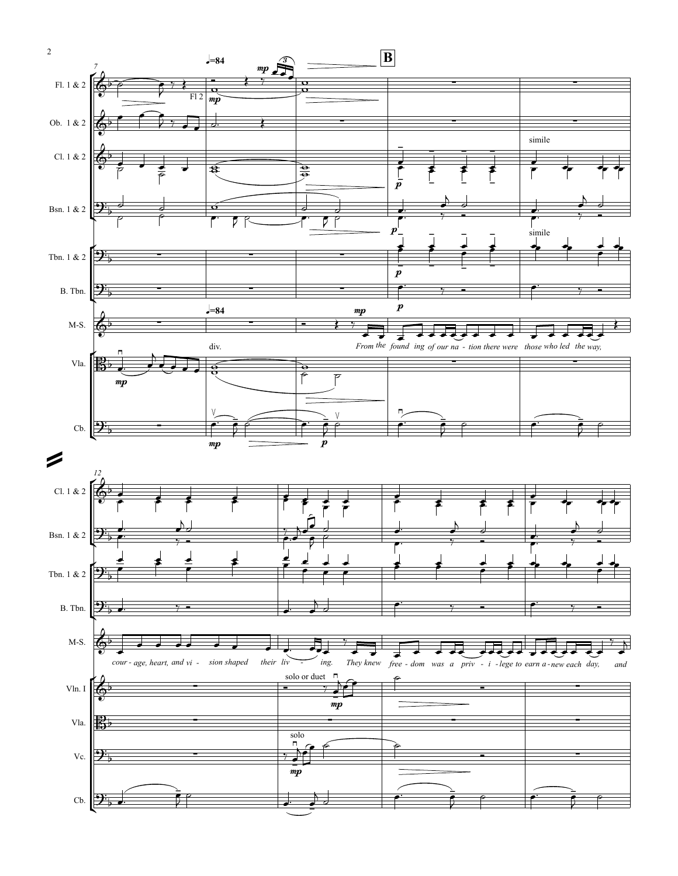